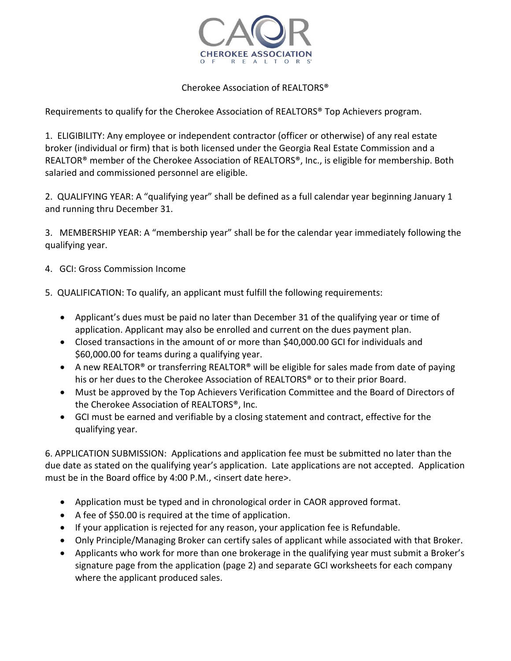

## Cherokee Association of REALTORS®

Requirements to qualify for the Cherokee Association of REALTORS® Top Achievers program.

1. ELIGIBILITY: Any employee or independent contractor (officer or otherwise) of any real estate broker (individual or firm) that is both licensed under the Georgia Real Estate Commission and a REALTOR® member of the Cherokee Association of REALTORS®, Inc., is eligible for membership. Both salaried and commissioned personnel are eligible.

2. QUALIFYING YEAR: A "qualifying year" shall be defined as a full calendar year beginning January 1 and running thru December 31.

3. MEMBERSHIP YEAR: A "membership year" shall be for the calendar year immediately following the qualifying year.

- 4. GCI: Gross Commission Income
- 5. QUALIFICATION: To qualify, an applicant must fulfill the following requirements:
	- Applicant's dues must be paid no later than December 31 of the qualifying year or time of application. Applicant may also be enrolled and current on the dues payment plan.
	- Closed transactions in the amount of or more than \$40,000.00 GCI for individuals and \$60,000.00 for teams during a qualifying year.
	- A new REALTOR® or transferring REALTOR® will be eligible for sales made from date of paying his or her dues to the Cherokee Association of REALTORS® or to their prior Board.
	- Must be approved by the Top Achievers Verification Committee and the Board of Directors of the Cherokee Association of REALTORS®, Inc.
	- GCI must be earned and verifiable by a closing statement and contract, effective for the qualifying year.

6. APPLICATION SUBMISSION: Applications and application fee must be submitted no later than the due date as stated on the qualifying year's application. Late applications are not accepted. Application must be in the Board office by 4:00 P.M., <insert date here>.

- Application must be typed and in chronological order in CAOR approved format.
- A fee of \$50.00 is required at the time of application.
- If your application is rejected for any reason, your application fee is Refundable.
- Only Principle/Managing Broker can certify sales of applicant while associated with that Broker.
- Applicants who work for more than one brokerage in the qualifying year must submit a Broker's signature page from the application (page 2) and separate GCI worksheets for each company where the applicant produced sales.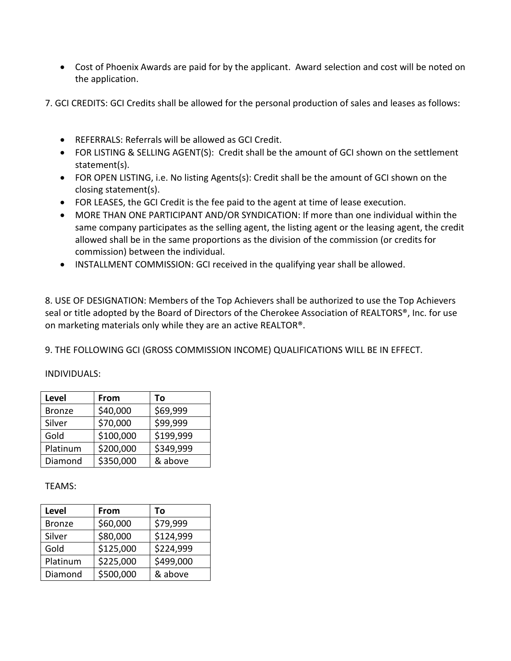- Cost of Phoenix Awards are paid for by the applicant. Award selection and cost will be noted on the application.
- 7. GCI CREDITS: GCI Credits shall be allowed for the personal production of sales and leases as follows:
	- REFERRALS: Referrals will be allowed as GCI Credit.
	- FOR LISTING & SELLING AGENT(S): Credit shall be the amount of GCI shown on the settlement statement(s).
	- FOR OPEN LISTING, i.e. No listing Agents(s): Credit shall be the amount of GCI shown on the closing statement(s).
	- FOR LEASES, the GCI Credit is the fee paid to the agent at time of lease execution.
	- MORE THAN ONE PARTICIPANT AND/OR SYNDICATION: If more than one individual within the same company participates as the selling agent, the listing agent or the leasing agent, the credit allowed shall be in the same proportions as the division of the commission (or credits for commission) between the individual.
	- INSTALLMENT COMMISSION: GCI received in the qualifying year shall be allowed.

8. USE OF DESIGNATION: Members of the Top Achievers shall be authorized to use the Top Achievers seal or title adopted by the Board of Directors of the Cherokee Association of REALTORS®, Inc. for use on marketing materials only while they are an active REALTOR®.

9. THE FOLLOWING GCI (GROSS COMMISSION INCOME) QUALIFICATIONS WILL BE IN EFFECT.

## INDIVIDUALS:

| <b>Level</b>  | From      | То        |
|---------------|-----------|-----------|
| <b>Bronze</b> | \$40,000  | \$69,999  |
| Silver        | \$70,000  | \$99,999  |
| Gold          | \$100,000 | \$199,999 |
| Platinum      | \$200,000 | \$349,999 |
| Diamond       | \$350,000 | & above   |

TEAMS:

| <b>Level</b>  | From      | То        |
|---------------|-----------|-----------|
| <b>Bronze</b> | \$60,000  | \$79,999  |
| Silver        | \$80,000  | \$124,999 |
| Gold          | \$125,000 | \$224,999 |
| Platinum      | \$225,000 | \$499,000 |
| Diamond       | \$500,000 | & above   |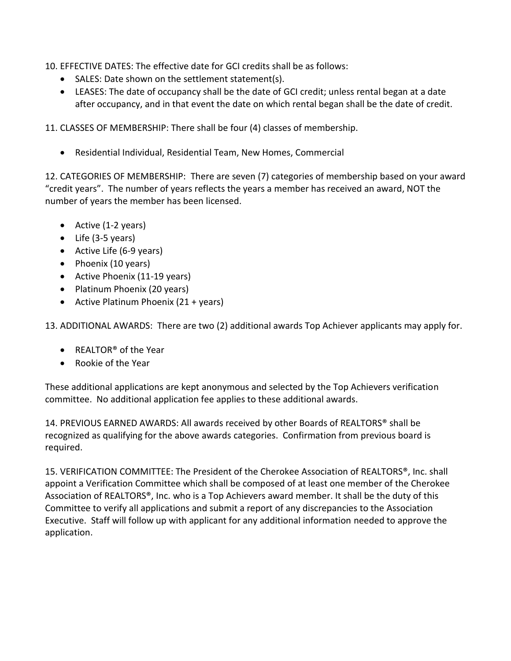10. EFFECTIVE DATES: The effective date for GCI credits shall be as follows:

- SALES: Date shown on the settlement statement(s).
- LEASES: The date of occupancy shall be the date of GCI credit; unless rental began at a date after occupancy, and in that event the date on which rental began shall be the date of credit.

11. CLASSES OF MEMBERSHIP: There shall be four (4) classes of membership.

• Residential Individual, Residential Team, New Homes, Commercial

12. CATEGORIES OF MEMBERSHIP: There are seven (7) categories of membership based on your award "credit years". The number of years reflects the years a member has received an award, NOT the number of years the member has been licensed.

- Active (1-2 years)
- Life (3-5 years)
- Active Life (6-9 years)
- Phoenix (10 years)
- Active Phoenix (11-19 years)
- Platinum Phoenix (20 years)
- Active Platinum Phoenix (21 + years)

13. ADDITIONAL AWARDS: There are two (2) additional awards Top Achiever applicants may apply for.

- REALTOR<sup>®</sup> of the Year
- Rookie of the Year

These additional applications are kept anonymous and selected by the Top Achievers verification committee. No additional application fee applies to these additional awards.

14. PREVIOUS EARNED AWARDS: All awards received by other Boards of REALTORS® shall be recognized as qualifying for the above awards categories. Confirmation from previous board is required.

15. VERIFICATION COMMITTEE: The President of the Cherokee Association of REALTORS®, Inc. shall appoint a Verification Committee which shall be composed of at least one member of the Cherokee Association of REALTORS®, Inc. who is a Top Achievers award member. It shall be the duty of this Committee to verify all applications and submit a report of any discrepancies to the Association Executive. Staff will follow up with applicant for any additional information needed to approve the application.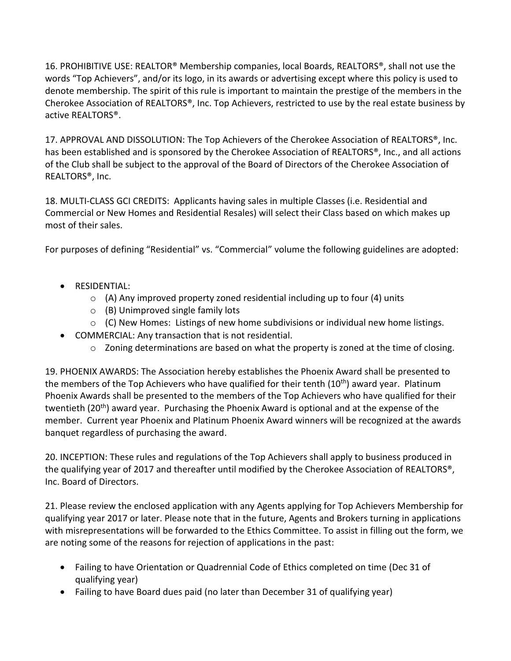16. PROHIBITIVE USE: REALTOR® Membership companies, local Boards, REALTORS®, shall not use the words "Top Achievers", and/or its logo, in its awards or advertising except where this policy is used to denote membership. The spirit of this rule is important to maintain the prestige of the members in the Cherokee Association of REALTORS®, Inc. Top Achievers, restricted to use by the real estate business by active REALTORS®.

17. APPROVAL AND DISSOLUTION: The Top Achievers of the Cherokee Association of REALTORS®, Inc. has been established and is sponsored by the Cherokee Association of REALTORS®, Inc., and all actions of the Club shall be subject to the approval of the Board of Directors of the Cherokee Association of REALTORS®, Inc.

18. MULTI-CLASS GCI CREDITS: Applicants having sales in multiple Classes (i.e. Residential and Commercial or New Homes and Residential Resales) will select their Class based on which makes up most of their sales.

For purposes of defining "Residential" vs. "Commercial" volume the following guidelines are adopted:

- RESIDENTIAL:
	- o (A) Any improved property zoned residential including up to four (4) units
	- o (B) Unimproved single family lots
	- o (C) New Homes: Listings of new home subdivisions or individual new home listings.
- COMMERCIAL: Any transaction that is not residential.
	- $\circ$  Zoning determinations are based on what the property is zoned at the time of closing.

19. PHOENIX AWARDS: The Association hereby establishes the Phoenix Award shall be presented to the members of the Top Achievers who have qualified for their tenth (10<sup>th</sup>) award year. Platinum Phoenix Awards shall be presented to the members of the Top Achievers who have qualified for their twentieth (20<sup>th</sup>) award year. Purchasing the Phoenix Award is optional and at the expense of the member. Current year Phoenix and Platinum Phoenix Award winners will be recognized at the awards banquet regardless of purchasing the award.

20. INCEPTION: These rules and regulations of the Top Achievers shall apply to business produced in the qualifying year of 2017 and thereafter until modified by the Cherokee Association of REALTORS®, Inc. Board of Directors.

21. Please review the enclosed application with any Agents applying for Top Achievers Membership for qualifying year 2017 or later. Please note that in the future, Agents and Brokers turning in applications with misrepresentations will be forwarded to the Ethics Committee. To assist in filling out the form, we are noting some of the reasons for rejection of applications in the past:

- Failing to have Orientation or Quadrennial Code of Ethics completed on time (Dec 31 of qualifying year)
- Failing to have Board dues paid (no later than December 31 of qualifying year)